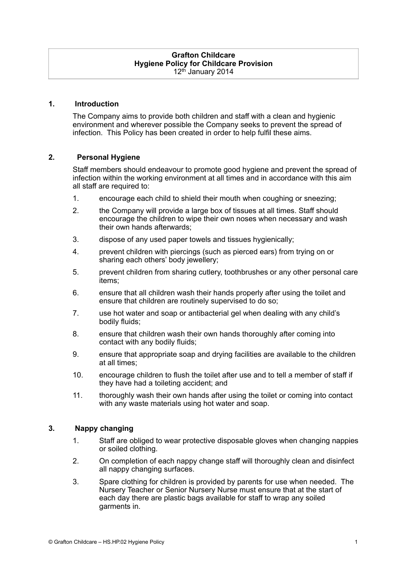#### **Grafton Childcare Hygiene Policy for Childcare Provision**  12<sup>th</sup> January 2014

#### **1. Introduction**

The Company aims to provide both children and staff with a clean and hygienic environment and wherever possible the Company seeks to prevent the spread of infection. This Policy has been created in order to help fulfil these aims.

#### **2. Personal Hygiene**

Staff members should endeavour to promote good hygiene and prevent the spread of infection within the working environment at all times and in accordance with this aim all staff are required to:

- 1. encourage each child to shield their mouth when coughing or sneezing;
- 2. the Company will provide a large box of tissues at all times. Staff should encourage the children to wipe their own noses when necessary and wash their own hands afterwards;
- 3. dispose of any used paper towels and tissues hygienically;
- 4. prevent children with piercings (such as pierced ears) from trying on or sharing each others' body jewellery;
- 5. prevent children from sharing cutlery, toothbrushes or any other personal care items;
- 6. ensure that all children wash their hands properly after using the toilet and ensure that children are routinely supervised to do so;
- 7. use hot water and soap or antibacterial gel when dealing with any child's bodily fluids;
- 8. ensure that children wash their own hands thoroughly after coming into contact with any bodily fluids;
- 9. ensure that appropriate soap and drying facilities are available to the children at all times;
- 10. encourage children to flush the toilet after use and to tell a member of staff if they have had a toileting accident; and
- 11. thoroughly wash their own hands after using the toilet or coming into contact with any waste materials using hot water and soap.

#### **3. Nappy changing**

- 1. Staff are obliged to wear protective disposable gloves when changing nappies or soiled clothing.
- 2. On completion of each nappy change staff will thoroughly clean and disinfect all nappy changing surfaces.
- 3. Spare clothing for children is provided by parents for use when needed. The Nursery Teacher or Senior Nursery Nurse must ensure that at the start of each day there are plastic bags available for staff to wrap any soiled garments in.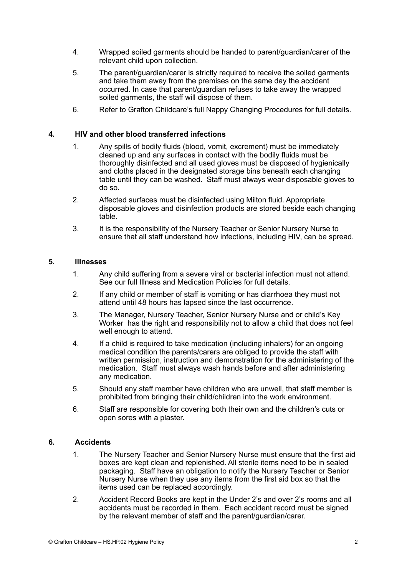- 4. Wrapped soiled garments should be handed to parent/guardian/carer of the relevant child upon collection.
- 5. The parent/guardian/carer is strictly required to receive the soiled garments and take them away from the premises on the same day the accident occurred. In case that parent/guardian refuses to take away the wrapped soiled garments, the staff will dispose of them.
- 6. Refer to Grafton Childcare's full Nappy Changing Procedures for full details.

## **4. HIV and other blood transferred infections**

- 1. Any spills of bodily fluids (blood, vomit, excrement) must be immediately cleaned up and any surfaces in contact with the bodily fluids must be thoroughly disinfected and all used gloves must be disposed of hygienically and cloths placed in the designated storage bins beneath each changing table until they can be washed. Staff must always wear disposable gloves to do so.
- 2. Affected surfaces must be disinfected using Milton fluid. Appropriate disposable gloves and disinfection products are stored beside each changing table.
- 3. It is the responsibility of the Nursery Teacher or Senior Nursery Nurse to ensure that all staff understand how infections, including HIV, can be spread.

## **5. Illnesses**

- 1. Any child suffering from a severe viral or bacterial infection must not attend. See our full Illness and Medication Policies for full details.
- 2. If any child or member of staff is vomiting or has diarrhoea they must not attend until 48 hours has lapsed since the last occurrence.
- 3. The Manager, Nursery Teacher, Senior Nursery Nurse and or child's Key Worker has the right and responsibility not to allow a child that does not feel well enough to attend.
- 4. If a child is required to take medication (including inhalers) for an ongoing medical condition the parents/carers are obliged to provide the staff with written permission, instruction and demonstration for the administering of the medication. Staff must always wash hands before and after administering any medication.
- 5. Should any staff member have children who are unwell, that staff member is prohibited from bringing their child/children into the work environment.
- 6. Staff are responsible for covering both their own and the children's cuts or open sores with a plaster.

## **6. Accidents**

- 1. The Nursery Teacher and Senior Nursery Nurse must ensure that the first aid boxes are kept clean and replenished. All sterile items need to be in sealed packaging. Staff have an obligation to notify the Nursery Teacher or Senior Nursery Nurse when they use any items from the first aid box so that the items used can be replaced accordingly.
- 2. Accident Record Books are kept in the Under 2's and over 2's rooms and all accidents must be recorded in them. Each accident record must be signed by the relevant member of staff and the parent/guardian/carer.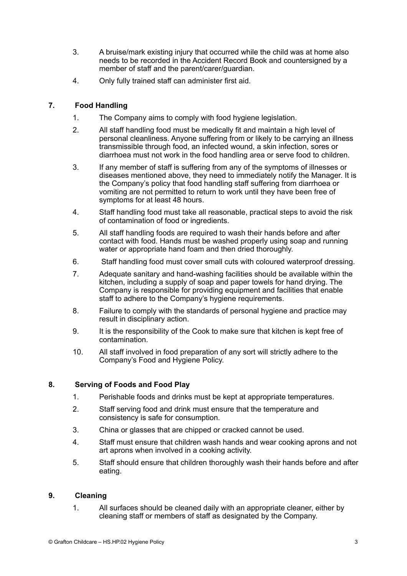- 3. A bruise/mark existing injury that occurred while the child was at home also needs to be recorded in the Accident Record Book and countersigned by a member of staff and the parent/carer/guardian.
- 4. Only fully trained staff can administer first aid.

# **7. Food Handling**

- 1. The Company aims to comply with food hygiene legislation.
- 2. All staff handling food must be medically fit and maintain a high level of personal cleanliness. Anyone suffering from or likely to be carrying an illness transmissible through food, an infected wound, a skin infection, sores or diarrhoea must not work in the food handling area or serve food to children.
- 3. If any member of staff is suffering from any of the symptoms of illnesses or diseases mentioned above, they need to immediately notify the Manager. It is the Company's policy that food handling staff suffering from diarrhoea or vomiting are not permitted to return to work until they have been free of symptoms for at least 48 hours.
- 4. Staff handling food must take all reasonable, practical steps to avoid the risk of contamination of food or ingredients.
- 5. All staff handling foods are required to wash their hands before and after contact with food. Hands must be washed properly using soap and running water or appropriate hand foam and then dried thoroughly.
- 6. Staff handling food must cover small cuts with coloured waterproof dressing.
- 7. Adequate sanitary and hand-washing facilities should be available within the kitchen, including a supply of soap and paper towels for hand drying. The Company is responsible for providing equipment and facilities that enable staff to adhere to the Company's hygiene requirements.
- 8. Failure to comply with the standards of personal hygiene and practice may result in disciplinary action.
- 9. It is the responsibility of the Cook to make sure that kitchen is kept free of contamination.
- 10. All staff involved in food preparation of any sort will strictly adhere to the Company's Food and Hygiene Policy.

## **8. Serving of Foods and Food Play**

- 1. Perishable foods and drinks must be kept at appropriate temperatures.
- 2. Staff serving food and drink must ensure that the temperature and consistency is safe for consumption.
- 3. China or glasses that are chipped or cracked cannot be used.
- 4. Staff must ensure that children wash hands and wear cooking aprons and not art aprons when involved in a cooking activity.
- 5. Staff should ensure that children thoroughly wash their hands before and after eating.

## **9. Cleaning**

1. All surfaces should be cleaned daily with an appropriate cleaner, either by cleaning staff or members of staff as designated by the Company.